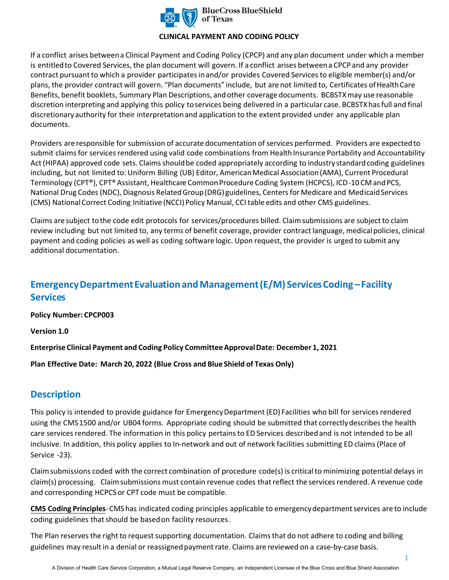

### **CLINICAL PAYMENT AND CODING POLICY**

If a conflict arises between a Clinical Payment and Coding Policy (CPCP) and any plan document under which a member is entitled to Covered Services, the plan document will govern. If a conflict arises between a CPCP and any provider contract pursuant to which a provider participates in and/or provides Covered Services to eligible member(s) and/or plans, the provider contract will govern. "Plan documents" include, but are not limited to, Certificates of Health Care Benefits, benefit booklets, Summary Plan Descriptions, and other coverage documents. BCBSTXmay use reasonable discretion interpreting and applying this policy to services being delivered in a particular case. BCBSTXhas full and final discretionary authority for their interpretation and application to the extent provided under any applicable plan documents.

Providers are responsible for submission of accurate documentation of services performed. Providers are expected to submit claims for services rendered using valid code combinations from Health Insurance Portability and Accountability Act (HIPAA) approved code sets. Claims should be coded appropriately according to industry standard coding guidelines including, but not limited to: Uniform Billing (UB) Editor, American Medical Association (AMA), Current Procedural Terminology (CPT®), CPT® Assistant, Healthcare Common Procedure Coding System (HCPCS), ICD-10 CM and PCS, National Drug Codes (NDC), Diagnosis Related Group (DRG) guidelines, Centers for Medicare and Medicaid Services (CMS) National Correct Coding Initiative (NCCI) Policy Manual, CCI table edits and other CMS guidelines.

Claims are subject to the code edit protocols for services/procedures billed. Claim submissions are subject to claim review including but not limited to, any terms of benefit coverage, provider contract language, medical policies, clinical payment and coding policies as well as coding software logic. Upon request, the provider is urged to submit any additional documentation.

# **Emergency Department Evaluation and Management (E/M) Services Coding –Facility Services**

**Policy Number: CPCP003** 

**Version 1.0** 

**Enterprise Clinical Payment and Coding Policy Committee Approval Date: December 1, 2021** 

**Plan Effective Date: March 20, 2022 (Blue Cross and Blue Shield of Texas Only)** 

## **Description**

This policy is intended to provide guidance for Emergency Department (ED) Facilities who bill for services rendered using the CMS 1500 and/or UB04 forms. Appropriate coding should be submitted that correctly describes the health care services rendered. The information in this policy pertains to ED Services described and is not intended to be all inclusive. In addition, this policy applies to In-network and out of network facilities submitting ED claims (Place of Service -23).

Claim submissions coded with the correct combination of procedure code(s) is critical to minimizing potential delays in claim(s) processing. Claim submissions must contain revenue codes that reflect the services rendered. A revenue code and corresponding HCPCS or CPT code must be compatible.

**CMS Coding Principles**- CMS has indicated coding principles applicable to emergency department services are to include coding guidelines that should be based on facility resources.

The Plan reserves the right to request supporting documentation. Claims that do not adhere to coding and billing guidelines may result in a denial or reassigned payment rate. Claims are reviewed on a case-by-case basis.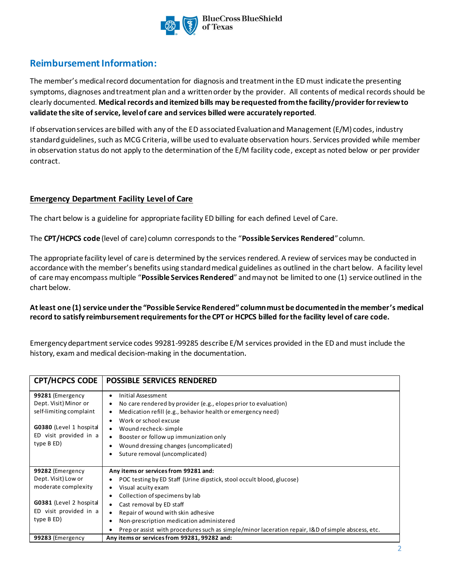

# **Reimbursement Information:**

The member's medical record documentation for diagnosis and treatment in the ED must indicate the presenting symptoms, diagnoses and treatment plan and a written order by the provider. All contents of medical records should be clearly documented. **Medical records and itemized bills may be requested from the facility/provider for reviewto validate the site of service, level of care and services billed were accurately reported**.

If observation services are billed with any of the ED associated Evaluation and Management (E/M) codes, industry standard guidelines, such as MCG Criteria, will be used to evaluate observation hours. Services provided while member in observation status do not apply to the determination of the E/M facility code, except as noted below or per provider contract.

### **Emergency Department Facility Level of Care**

The chart below is a guideline for appropriate facility ED billing for each defined Level of Care.

The **CPT/HCPCS code** (level of care) column corresponds to the "**Possible Services Rendered**" column.

The appropriate facility level of care is determined by the services rendered. A review of services may be conducted in accordance with the member's benefits using standard medical guidelines as outlined in the chart below. A facility level of care may encompass multiple "**Possible Services Rendered**" and may not be limited to one (1) service outlined in the chart below.

### **At least one (1)service under the "Possible Service Rendered" column must be documented in the member's medical record to satisfy reimbursement requirements for the CPT or HCPCS billed for the facility level of care code.**

Emergency department service codes 99281-99285 describe E/M services provided in the ED and must include the history, exam and medical decision-making in the documentation.

| <b>CPT/HCPCS CODE</b>                                                                                                                   | <b>POSSIBLE SERVICES RENDERED</b>                                                                                                                                                                                                                                                                                                                                                                    |
|-----------------------------------------------------------------------------------------------------------------------------------------|------------------------------------------------------------------------------------------------------------------------------------------------------------------------------------------------------------------------------------------------------------------------------------------------------------------------------------------------------------------------------------------------------|
| 99281 (Emergency<br>Dept. Visit) Minor or<br>self-limiting complaint<br>G0380 (Level 1 hospital<br>ED visit provided in a<br>type B ED) | Initial Assessment<br>$\bullet$<br>No care rendered by provider (e.g., elopes prior to evaluation)<br>Medication refill (e.g., behavior health or emergency need)<br>Work or school excuse<br>Wound recheck-simple<br>٠<br>Booster or follow up immunization only<br>$\bullet$<br>Wound dressing changes (uncomplicated)<br>Suture removal (uncomplicated)                                           |
| 99282 (Emergency<br>Dept. Visit) Low or<br>moderate complexity<br>G0381 (Level 2 hospital<br>ED visit provided in a<br>type B ED)       | Any items or services from 99281 and:<br>POC testing by ED Staff (Urine dipstick, stool occult blood, glucose)<br>Visual acuity exam<br>Collection of specimens by lab<br>٠<br>Cast removal by ED staff<br>Repair of wound with skin adhesive<br>Non-prescription medication administered<br>٠<br>Prep or assist with procedures such as simple/minor laceration repair, I&D of simple abscess, etc. |
| 99283 (Emergency                                                                                                                        | Any items or services from 99281, 99282 and:                                                                                                                                                                                                                                                                                                                                                         |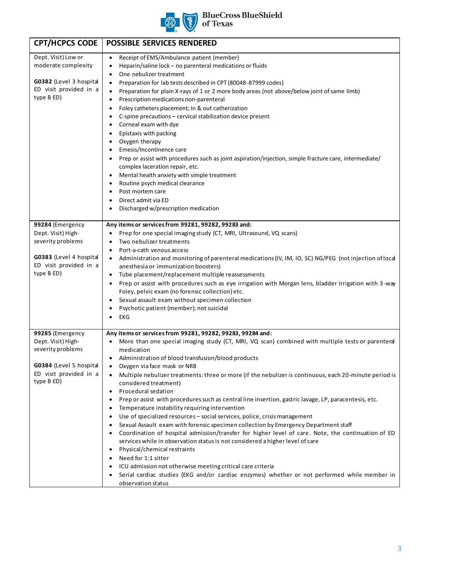

# **BlueCross BlueShield**<br>of Texas

| <b>CPT/HCPCS CODE</b>                                                                                                          | <b>POSSIBLE SERVICES RENDERED</b>                                                                                                                                                                                                                                                                                                                                                                                                                                                                                                                                                                                                                                                                                                                                                                                                                                                                                                                                                                                                                                                                                                                                                                                      |
|--------------------------------------------------------------------------------------------------------------------------------|------------------------------------------------------------------------------------------------------------------------------------------------------------------------------------------------------------------------------------------------------------------------------------------------------------------------------------------------------------------------------------------------------------------------------------------------------------------------------------------------------------------------------------------------------------------------------------------------------------------------------------------------------------------------------------------------------------------------------------------------------------------------------------------------------------------------------------------------------------------------------------------------------------------------------------------------------------------------------------------------------------------------------------------------------------------------------------------------------------------------------------------------------------------------------------------------------------------------|
| Dept. Visit) Low or<br>moderate complexity<br>G0382 (Level 3 hospital<br>ED visit provided in a<br>type B ED)                  | Receipt of EMS/Ambulance patient (member)<br>$\bullet$<br>Heparin/saline lock - no parenteral medications or fluids<br>$\bullet$<br>One nebulizer treatment<br>٠<br>Preparation for lab tests described in CPT (80048-87999 codes)<br>٠<br>Preparation for plain X-rays of 1 or 2 more body areas (not above/below joint of same limb)<br>$\bullet$<br>Prescription medications non-parenteral<br>$\bullet$<br>Foley catheters placement; In & out catherization<br>٠<br>C-spine precautions - cervical stabilization device present<br>Corneal exam with dye<br>٠<br>Epistaxis with packing<br>$\bullet$<br>Oxygen therapy<br>Emesis/Incontinence care<br>$\bullet$<br>Prep or assist with procedures such as joint aspiration/injection, simple fracture care, intermediate/<br>complex laceration repair, etc.<br>Mental health anxiety with simple treatment<br>٠<br>Routine psych medical clearance<br>Post mortem care<br>Direct admit via ED<br>Discharged w/prescription medication                                                                                                                                                                                                                            |
| 99284 (Emergency<br>Dept. Visit) High-<br>severity problems<br>G0383 (Level 4 hospital<br>ED visit provided in a<br>type B ED) | Any items or services from 99281, 99282, 99283 and:<br>Prep for one special imaging study (CT, MRI, Ultrasound, VQ scans)<br>Two nebulizer treatments<br>$\bullet$<br>Port-a-cath venous access<br>٠<br>Administration and monitoring of parenteral medications (IV, IM, IO, SC) NG/PEG (not injection of local<br>anesthesia or immunization boosters)<br>Tube placement/replacement multiple reassessments<br>٠<br>Prep or assist with procedures such as eye irrigation with Morgan lens, bladder irrigation with 3-way<br>Foley, pelvic exam (no forensic collection) etc.<br>Sexual assault exam without specimen collection<br>Psychotic patient (member); not suicidal<br>EKG<br>$\bullet$                                                                                                                                                                                                                                                                                                                                                                                                                                                                                                                      |
| 99285 (Emergency<br>Dept. Visit) High-<br>severity problems<br>G0384 (Level 5 hospital<br>ED visit provided in a<br>type B ED) | Any items or services from 99281, 99282, 99283, 99284 and:<br>More than one special imaging study (CT, MRI, VQ scan) combined with multiple tests or parenteral<br>medication<br>Administration of blood transfusion/blood products<br>٠<br>Oxygen via face mask or NRB<br>• Multiple nebulizer treatments: three or more (if the nebulizer is continuous, each 20-minute period is<br>considered treatment)<br>Procedural sedation<br>Prep or assist with procedures such as central line insertion, gastric lavage, LP, paracentesis, etc.<br>Temperature instability requiring intervention<br>Use of specialized resources - social services, police, crisis management<br>Sexual Assault exam with forensic specimen collection by Emergency Department staff<br>Coordination of hospital admission/transfer for higher level of care. Note, the continuation of ED<br>services while in observation status is not considered a higher level of care<br>Physical/chemical restraints<br>٠<br>Need for 1:1 sitter<br>$\bullet$<br>ICU admission not otherwise meeting critical care criteria<br>Serial cardiac studies (EKG and/or cardiac enzymes) whether or not performed while member in<br>observation status |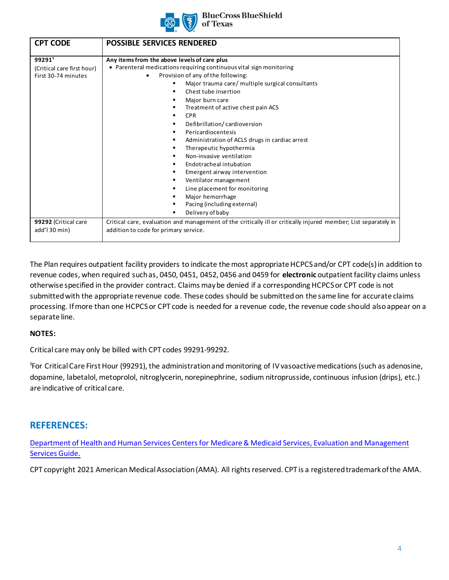

#### **BlueCross BlueShield** of Texas

| <b>CPT CODE</b>                                            | <b>POSSIBLE SERVICES RENDERED</b>                                                                                                                                                                                                                                                                                                                                                                                                                                                                                                                                                                                                                                            |
|------------------------------------------------------------|------------------------------------------------------------------------------------------------------------------------------------------------------------------------------------------------------------------------------------------------------------------------------------------------------------------------------------------------------------------------------------------------------------------------------------------------------------------------------------------------------------------------------------------------------------------------------------------------------------------------------------------------------------------------------|
| 99291<br>(Critical care first hour)<br>First 30-74 minutes | Any items from the above levels of care plus<br>• Parenteral medications requiring continuous vital sign monitoring<br>Provision of any of the following:<br>Major trauma care/ multiple surgical consultants<br>Chest tube insertion<br>Major burn care<br>Treatment of active chest pain ACS<br><b>CPR</b><br>Defibrillation/cardioversion<br>Pericardiocentesis<br>Administration of ACLS drugs in cardiac arrest<br>Therapeutic hypothermia<br>Non-invasive ventilation<br>Endotracheal intubation<br>Emergent airway intervention<br>Ventilator management<br>٠<br>Line placement for monitoring<br>Major hemorrhage<br>Pacing (including external)<br>Delivery of baby |
| 99292 (Critical care<br>add'l 30 min)                      | Critical care, evaluation and management of the critically ill or critically injured member; List separately in<br>addition to code for primary service.                                                                                                                                                                                                                                                                                                                                                                                                                                                                                                                     |

The Plan requires outpatient facility providers to indicate the most appropriate HCPCS and/or CPT code(s) in addition to revenue codes, when required such as, 0450, 0451, 0452, 0456 and 0459 for **electronic** outpatient facility claims unless otherwise specified in the provider contract. Claims may be denied if a corresponding HCPCS or CPT code is not submitted with the appropriate revenue code. These codes should be submitted on the same line for accurate claims processing. If more than one HCPCS or CPT code is needed for a revenue code, the revenue code should also appear on a separate line.

### **NOTES:**

Critical care may only be billed with CPT codes 99291-99292.

<sup>1</sup>For Critical Care First Hour (99291), the administration and monitoring of IV vasoactive medications (such as adenosine, dopamine, labetalol, metoprolol, nitroglycerin, norepinephrine, sodium nitroprusside, continuous infusion (drips), etc.) are indicative of critical care.

# **REFERENCES:**

[Department of Health and Human Services Centers for Medicare & Medicaid Services, Evaluation and Management](https://www.cms.gov/Outreach-and-Education/Medicare-Learning-Network-MLN/MLNProducts/Downloads/eval-mgmt-serv-guide-ICN006764.pdf) Services Guide[.](https://www.cms.gov/Outreach-and-Education/Medicare-Learning-Network-MLN/MLNProducts/Downloads/eval-mgmt-serv-guide-ICN006764.pdf) 

[CPT copyright 2021 American Medical Association \(AMA\). All rights res](https://www.cms.gov/Outreach-and-Education/Medicare-Learning-Network-MLN/MLNProducts/Downloads/eval-mgmt-serv-guide-ICN006764.pdf)erved. CPT is a registered trademark of the AMA.